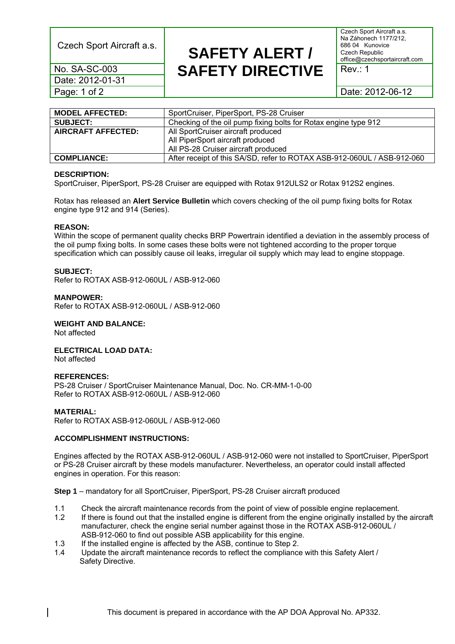Czech Sport Aircraft a.s.

Czech Sport Aircraft a.s. Na Záhonech 1177/212, 686 04 Kunovice Czech Republic office@czechsportaircraft.com

Rev.: 1

No. SA-SC-003 Date: 2012-01-31 Page: 1 of 2

**SAFETY ALERT / SAFETY DIRECTIVE** 

Date: 2012-06-12

| <b>MODEL AFFECTED:</b>    | SportCruiser, PiperSport, PS-28 Cruiser                                 |  |
|---------------------------|-------------------------------------------------------------------------|--|
| <b>SUBJECT:</b>           | Checking of the oil pump fixing bolts for Rotax engine type 912         |  |
| <b>AIRCRAFT AFFECTED:</b> | All SportCruiser aircraft produced                                      |  |
|                           | All PiperSport aircraft produced                                        |  |
|                           | All PS-28 Cruiser aircraft produced                                     |  |
| <b>COMPLIANCE:</b>        | After receipt of this SA/SD, refer to ROTAX ASB-912-060UL / ASB-912-060 |  |

## **DESCRIPTION:**

SportCruiser, PiperSport, PS-28 Cruiser are equipped with Rotax 912ULS2 or Rotax 912S2 engines.

Rotax has released an **Alert Service Bulletin** which covers checking of the oil pump fixing bolts for Rotax engine type 912 and 914 (Series).

## **REASON:**

Within the scope of permanent quality checks BRP Powertrain identified a deviation in the assembly process of the oil pump fixing bolts. In some cases these bolts were not tightened according to the proper torque specification which can possibly cause oil leaks, irregular oil supply which may lead to engine stoppage.

## **SUBJECT:**

Refer to ROTAX ASB-912-060UL / ASB-912-060

#### **MANPOWER:**

Refer to ROTAX ASB-912-060UL / ASB-912-060

## **WEIGHT AND BALANCE:**

Not affected

# **ELECTRICAL LOAD DATA:**

Not affected

#### **REFERENCES:**

PS-28 Cruiser / SportCruiser Maintenance Manual, Doc. No. CR-MM-1-0-00 Refer to ROTAX ASB-912-060UL / ASB-912-060

#### **MATERIAL:**

Refer to ROTAX ASB-912-060UL / ASB-912-060

# **ACCOMPLISHMENT INSTRUCTIONS:**

Engines affected by the ROTAX ASB-912-060UL / ASB-912-060 were not installed to SportCruiser, PiperSport or PS-28 Cruiser aircraft by these models manufacturer. Nevertheless, an operator could install affected engines in operation. For this reason:

**Step 1** – mandatory for all SportCruiser, PiperSport, PS-28 Cruiser aircraft produced

- 1.1 Check the aircraft maintenance records from the point of view of possible engine replacement.
- 1.2 If there is found out that the installed engine is different from the engine originally installed by the aircraft manufacturer, check the engine serial number against those in the ROTAX ASB-912-060UL / ASB-912-060 to find out possible ASB applicability for this engine.
- 1.3 If the installed engine is affected by the ASB, continue to Step 2.
- 1.4 Update the aircraft maintenance records to reflect the compliance with this Safety Alert / Safety Directive.